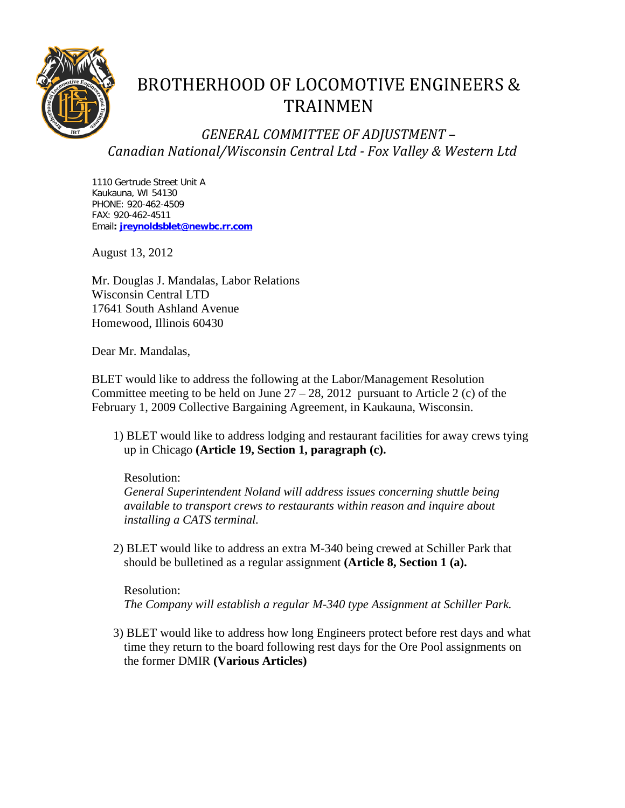

# BROTHERHOOD OF LOCOMOTIVE ENGINEERS & TRAINMEN

*GENERAL COMMITTEE OF ADJUSTMENT – Canadian National/Wisconsin Central Ltd - Fox Valley & Western Ltd*

1110 Gertrude Street Unit A Kaukauna, WI 54130 PHONE: 920-462-4509 FAX: 920-462-4511 Email**: [jreynoldsblet@newbc.rr.com](mailto:jreynoldblet@newbc.rr.com)**

August 13, 2012

Mr. Douglas J. Mandalas, Labor Relations Wisconsin Central LTD 17641 South Ashland Avenue Homewood, Illinois 60430

Dear Mr. Mandalas,

BLET would like to address the following at the Labor/Management Resolution Committee meeting to be held on June  $27 - 28$ , 2012 pursuant to Article 2 (c) of the February 1, 2009 Collective Bargaining Agreement, in Kaukauna, Wisconsin.

1) BLET would like to address lodging and restaurant facilities for away crews tying up in Chicago **(Article 19, Section 1, paragraph (c).**

## Resolution:

*General Superintendent Noland will address issues concerning shuttle being available to transport crews to restaurants within reason and inquire about installing a CATS terminal.*

2) BLET would like to address an extra M-340 being crewed at Schiller Park that should be bulletined as a regular assignment **(Article 8, Section 1 (a).**

Resolution:

*The Company will establish a regular M-340 type Assignment at Schiller Park.*

3) BLET would like to address how long Engineers protect before rest days and what time they return to the board following rest days for the Ore Pool assignments on the former DMIR **(Various Articles)**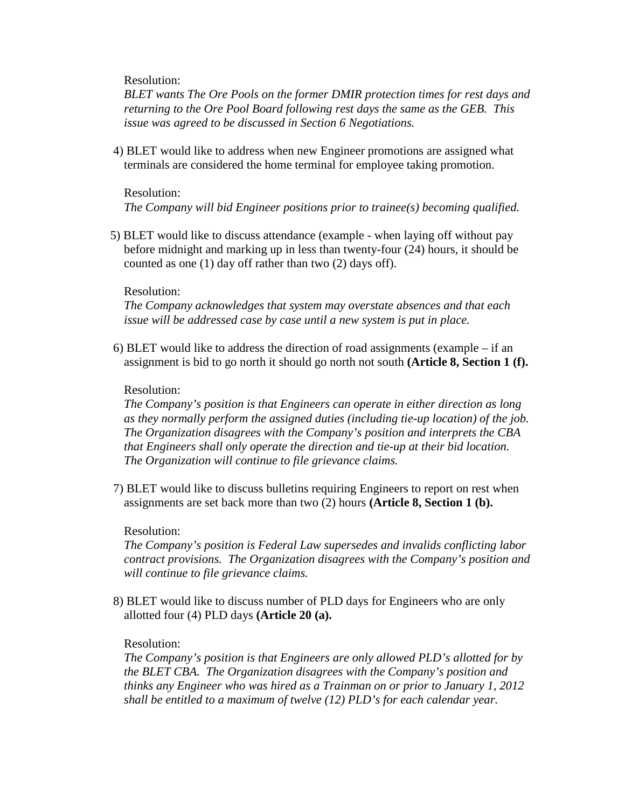Resolution:

*BLET wants The Ore Pools on the former DMIR protection times for rest days and returning to the Ore Pool Board following rest days the same as the GEB. This issue was agreed to be discussed in Section 6 Negotiations.*

4) BLET would like to address when new Engineer promotions are assigned what terminals are considered the home terminal for employee taking promotion.

#### Resolution:

*The Company will bid Engineer positions prior to trainee(s) becoming qualified.*

5) BLET would like to discuss attendance (example - when laying off without pay before midnight and marking up in less than twenty-four (24) hours, it should be counted as one (1) day off rather than two (2) days off).

## Resolution:

*The Company acknowledges that system may overstate absences and that each issue will be addressed case by case until a new system is put in place.*

6) BLET would like to address the direction of road assignments (example – if an assignment is bid to go north it should go north not south **(Article 8, Section 1 (f).**

## Resolution:

*The Company's position is that Engineers can operate in either direction as long as they normally perform the assigned duties (including tie-up location) of the job. The Organization disagrees with the Company's position and interprets the CBA that Engineers shall only operate the direction and tie-up at their bid location. The Organization will continue to file grievance claims.*

7) BLET would like to discuss bulletins requiring Engineers to report on rest when assignments are set back more than two (2) hours **(Article 8, Section 1 (b).**

## Resolution:

*The Company's position is Federal Law supersedes and invalids conflicting labor contract provisions. The Organization disagrees with the Company's position and will continue to file grievance claims.*

8) BLET would like to discuss number of PLD days for Engineers who are only allotted four (4) PLD days **(Article 20 (a).**

## Resolution:

*The Company's position is that Engineers are only allowed PLD's allotted for by the BLET CBA. The Organization disagrees with the Company's position and thinks any Engineer who was hired as a Trainman on or prior to January 1, 2012 shall be entitled to a maximum of twelve (12) PLD's for each calendar year.*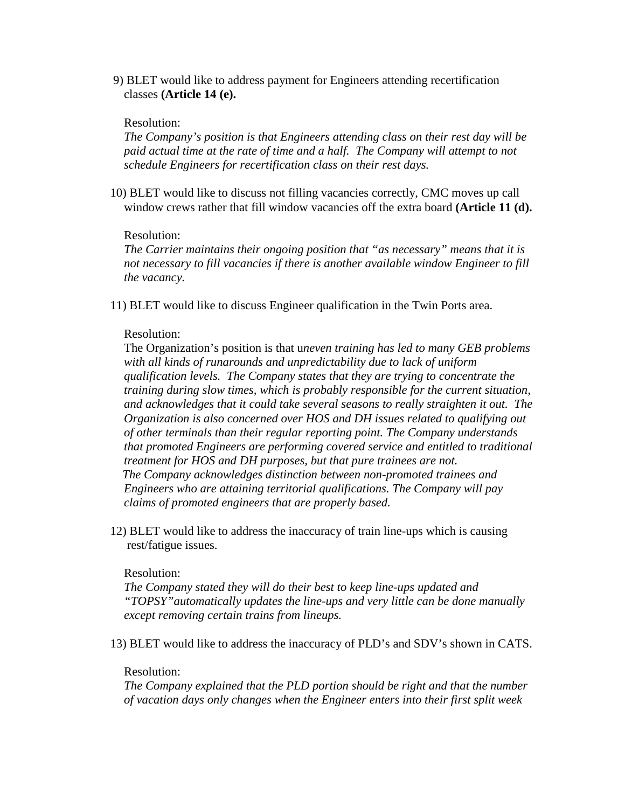9) BLET would like to address payment for Engineers attending recertification classes **(Article 14 (e).**

#### Resolution:

*The Company's position is that Engineers attending class on their rest day will be paid actual time at the rate of time and a half. The Company will attempt to not schedule Engineers for recertification class on their rest days.*

10) BLET would like to discuss not filling vacancies correctly, CMC moves up call window crews rather that fill window vacancies off the extra board **(Article 11 (d).**

#### Resolution:

*The Carrier maintains their ongoing position that "as necessary" means that it is not necessary to fill vacancies if there is another available window Engineer to fill the vacancy.*

11) BLET would like to discuss Engineer qualification in the Twin Ports area.

## Resolution:

The Organization's position is that u*neven training has led to many GEB problems with all kinds of runarounds and unpredictability due to lack of uniform qualification levels. The Company states that they are trying to concentrate the training during slow times, which is probably responsible for the current situation, and acknowledges that it could take several seasons to really straighten it out. The Organization is also concerned over HOS and DH issues related to qualifying out of other terminals than their regular reporting point. The Company understands that promoted Engineers are performing covered service and entitled to traditional treatment for HOS and DH purposes, but that pure trainees are not. The Company acknowledges distinction between non-promoted trainees and Engineers who are attaining territorial qualifications. The Company will pay claims of promoted engineers that are properly based.*

12) BLET would like to address the inaccuracy of train line-ups which is causing rest/fatigue issues.

#### Resolution:

*The Company stated they will do their best to keep line-ups updated and "TOPSY"automatically updates the line-ups and very little can be done manually except removing certain trains from lineups.*

13) BLET would like to address the inaccuracy of PLD's and SDV's shown in CATS.

#### Resolution:

*The Company explained that the PLD portion should be right and that the number of vacation days only changes when the Engineer enters into their first split week*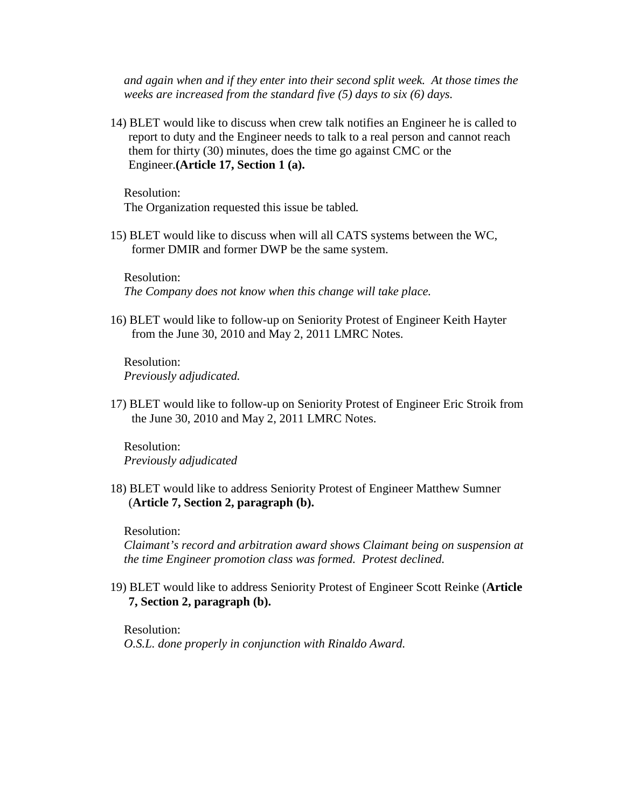*and again when and if they enter into their second split week. At those times the weeks are increased from the standard five (5) days to six (6) days.*

14) BLET would like to discuss when crew talk notifies an Engineer he is called to report to duty and the Engineer needs to talk to a real person and cannot reach them for thirty (30) minutes, does the time go against CMC or the Engineer.**(Article 17, Section 1 (a).**

Resolution: The Organization requested this issue be tabled*.*

15) BLET would like to discuss when will all CATS systems between the WC, former DMIR and former DWP be the same system.

Resolution: *The Company does not know when this change will take place.*

16) BLET would like to follow-up on Seniority Protest of Engineer Keith Hayter from the June 30, 2010 and May 2, 2011 LMRC Notes.

Resolution: *Previously adjudicated.*

17) BLET would like to follow-up on Seniority Protest of Engineer Eric Stroik from the June 30, 2010 and May 2, 2011 LMRC Notes.

Resolution: *Previously adjudicated*

18) BLET would like to address Seniority Protest of Engineer Matthew Sumner (**Article 7, Section 2, paragraph (b).**

Resolution:

*Claimant's record and arbitration award shows Claimant being on suspension at the time Engineer promotion class was formed. Protest declined.*

19) BLET would like to address Seniority Protest of Engineer Scott Reinke (**Article 7, Section 2, paragraph (b).**

Resolution: *O.S.L. done properly in conjunction with Rinaldo Award.*